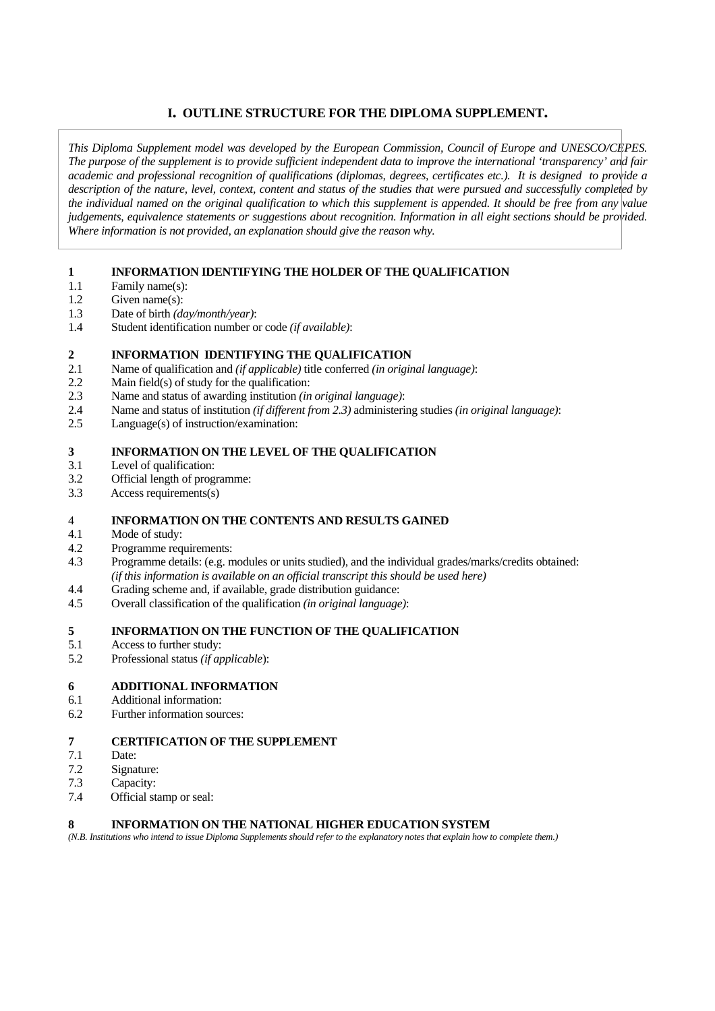### **I. OUTLINE STRUCTURE FOR THE DIPLOMA SUPPLEMENT.**

*This Diploma Supplement model was developed by the European Commission, Council of Europe and UNESCO/CEPES. The purpose of the supplement is to provide sufficient independent data to improve the international 'transparency' and fair academic and professional recognition of qualifications (diplomas, degrees, certificates etc.). It is designed to provide a description of the nature, level, context, content and status of the studies that were pursued and successfully completed by the individual named on the original qualification to which this supplement is appended. It should be free from any value judgements, equivalence statements or suggestions about recognition. Information in all eight sections should be provided. Where information is not provided, an explanation should give the reason why.* 

#### **1 INFORMATION IDENTIFYING THE HOLDER OF THE QUALIFICATION**

- 1.1 Family name(s):
- 1.2 Given name(s):
- 1.3 Date of birth *(day/month/year)*:
- 1.4 Student identification number or code *(if available)*:

#### **2 INFORMATION IDENTIFYING THE QUALIFICATION**

- 2.1 Name of qualification and *(if applicable)* title conferred *(in original language)*:
- 2.2 Main field(s) of study for the qualification:
- 2.3 Name and status of awarding institution *(in original language)*:
- 2.4 Name and status of institution *(if different from 2.3)* administering studies *(in original language)*:
- 2.5 Language(s) of instruction/examination:

#### **3 INFORMATION ON THE LEVEL OF THE QUALIFICATION**

- 3.1 Level of qualification:
- 3.2 Official length of programme:
- 3.3 Access requirements(s)

### 4 **INFORMATION ON THE CONTENTS AND RESULTS GAINED**

- 4.1 Mode of study:
- 4.2 Programme requirements:
- 4.3 Programme details: (e.g. modules or units studied), and the individual grades/marks/credits obtained:  *(if this information is available on an official transcript this should be used here)*
- 4.4 Grading scheme and, if available, grade distribution guidance:
- 4.5 Overall classification of the qualification *(in original language)*:

#### **5 INFORMATION ON THE FUNCTION OF THE QUALIFICATION**

- 5.1 Access to further study:
- 5.2 Professional status *(if applicable*):

#### **6 ADDITIONAL INFORMATION**

- 6.1 Additional information:
- 6.2 Further information sources:

#### **7 CERTIFICATION OF THE SUPPLEMENT**

- 7.1 Date:
- 7.2 Signature:
- 7.3 Capacity:
- 7.4 Official stamp or seal:

#### **8 INFORMATION ON THE NATIONAL HIGHER EDUCATION SYSTEM**

*(N.B. Institutions who intend to issue Diploma Supplements should refer to the explanatory notes that explain how to complete them.)*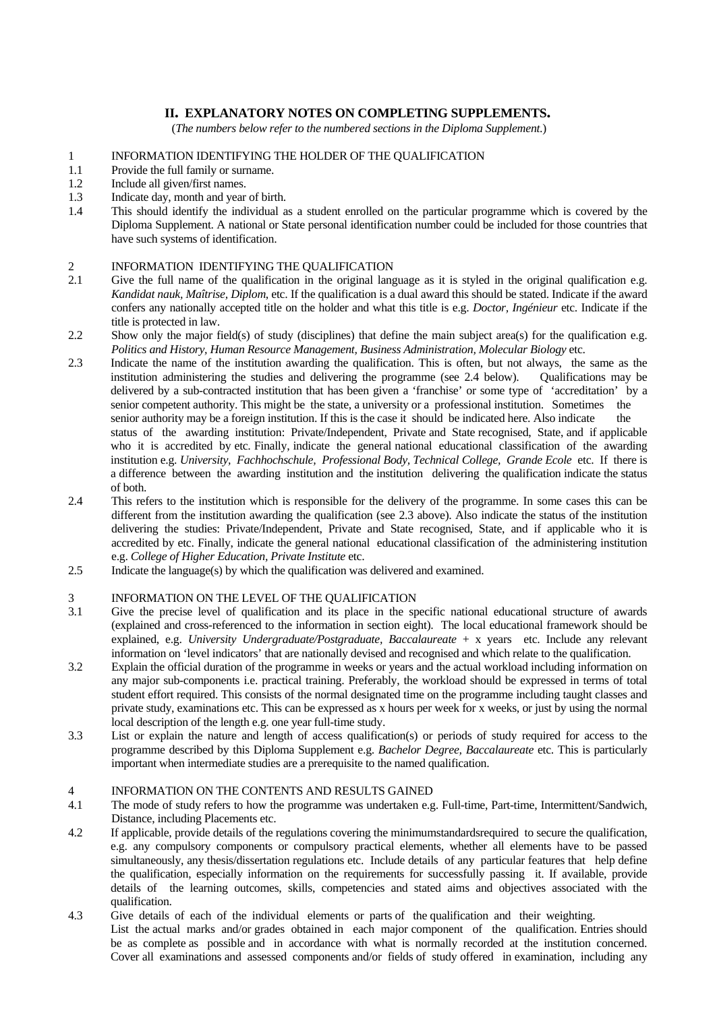### **II. EXPLANATORY NOTES ON COMPLETING SUPPLEMENTS.**

(*The numbers below refer to the numbered sections in the Diploma Supplement*.)

#### 1 INFORMATION IDENTIFYING THE HOLDER OF THE QUALIFICATION

- 1.1 Provide the full family or surname.
- 1.2 Include all given/first names.
- 1.3 Indicate day, month and year of birth.
- 1.4 This should identify the individual as a student enrolled on the particular programme which is covered by the Diploma Supplement. A national or State personal identification number could be included for those countries that have such systems of identification.

#### 2 INFORMATION IDENTIFYING THE QUALIFICATION

- 2.1 Give the full name of the qualification in the original language as it is styled in the original qualification e.g. *Kandidat nauk, Maîtrise, Diplom*, etc. If the qualification is a dual award this should be stated. Indicate if the award confers any nationally accepted title on the holder and what this title is e.g. *Doctor, Ingénieur* etc. Indicate if the title is protected in law.
- 2.2 Show only the major field(s) of study (disciplines) that define the main subject area(s) for the qualification e.g. *Politics and History, Human Resource Management, Business Administration, Molecular Biology* etc.
- 2.3 Indicate the name of the institution awarding the qualification. This is often, but not always, the same as the institution administering the studies and delivering the programme (see 2.4 below). Oualifications may be institution administering the studies and delivering the programme (see 2.4 below). delivered by a sub-contracted institution that has been given a 'franchise' or some type of 'accreditation' by a senior competent authority. This might be the state, a university or a professional institution. Sometimes the senior authority may be a foreign institution. If this is the case it should be indicated here. Also indicate the status of the awarding institution: Private/Independent, Private and State recognised, State, and if applicable who it is accredited by etc. Finally, indicate the general national educational classification of the awarding institution e.g. *University, Fachhochschule, Professional Body, Technical College, Grande Ecole* etc. If there is a difference between the awarding institution and the institution delivering the qualification indicate the status of both.
- 2.4 This refers to the institution which is responsible for the delivery of the programme. In some cases this can be different from the institution awarding the qualification (see 2.3 above). Also indicate the status of the institution delivering the studies: Private/Independent, Private and State recognised, State, and if applicable who it is accredited by etc. Finally, indicate the general national educational classification of the administering institution e.g. *College of Higher Education, Private Institute* etc.
- 2.5 Indicate the language(s) by which the qualification was delivered and examined.

# 3 INFORMATION ON THE LEVEL OF THE QUALIFICATION<br>3.1 Give the precise level of qualification and its place in the sp

- Give the precise level of qualification and its place in the specific national educational structure of awards (explained and cross-referenced to the information in section eight). The local educational framework should be explained, e.g. *University Undergraduate/Postgraduate, Baccalaureate* + x years etc. Include any relevant information on 'level indicators' that are nationally devised and recognised and which relate to the qualification.
- 3.2 Explain the official duration of the programme in weeks or years and the actual workload including information on any major sub-components i.e. practical training. Preferably, the workload should be expressed in terms of total student effort required. This consists of the normal designated time on the programme including taught classes and private study, examinations etc. This can be expressed as x hours per week for x weeks, or just by using the normal local description of the length e.g. one year full-time study.
- 3.3 List or explain the nature and length of access qualification(s) or periods of study required for access to the programme described by this Diploma Supplement e.g. *Bachelor Degree, Baccalaureate* etc. This is particularly important when intermediate studies are a prerequisite to the named qualification.

#### 4 INFORMATION ON THE CONTENTS AND RESULTS GAINED

- 4.1 The mode of study refers to how the programme was undertaken e.g. Full-time, Part-time, Intermittent/Sandwich, Distance, including Placements etc.
- 4.2 If applicable, provide details of the regulations covering the minimumstandardsrequired to secure the qualification, e.g. any compulsory components or compulsory practical elements, whether all elements have to be passed simultaneously, any thesis/dissertation regulations etc. Include details of any particular features that help define the qualification, especially information on the requirements for successfully passing it. If available, provide details of the learning outcomes, skills, competencies and stated aims and objectives associated with the qualification.
- 4.3 Give details of each of the individual elements or parts of the qualification and their weighting. List the actual marks and/or grades obtained in each major component of the qualification. Entries should be as complete as possible and in accordance with what is normally recorded at the institution concerned. Cover all examinations and assessed components and/or fields of study offered in examination, including any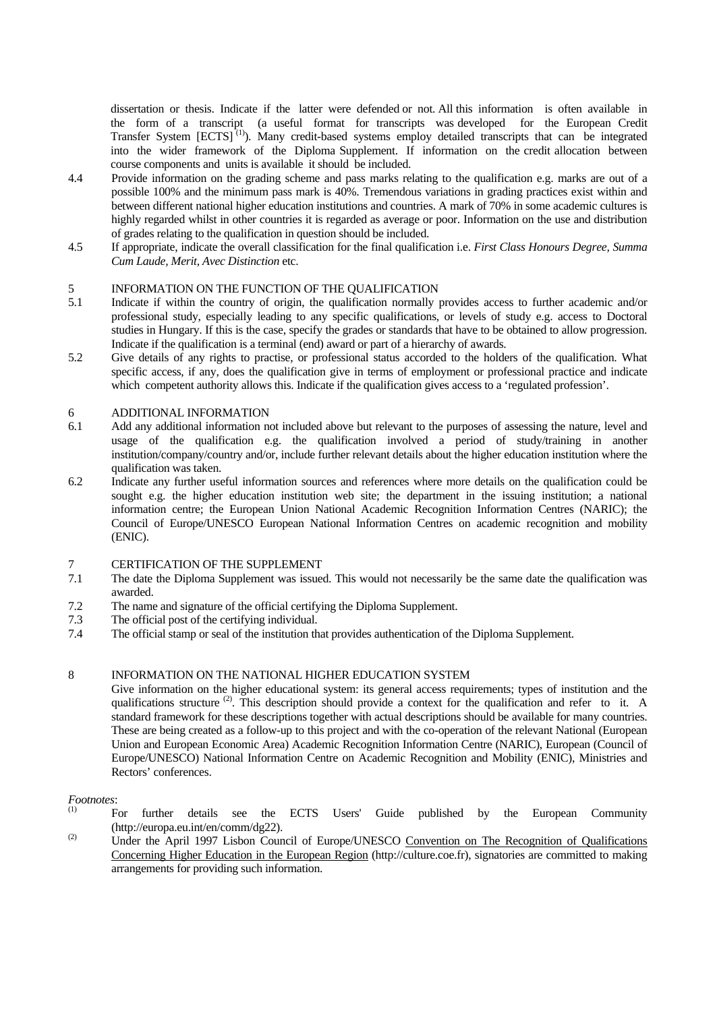dissertation or thesis. Indicate if the latter were defended or not. All this information is often available in the form of a transcript (a useful format for transcripts was developed for the European Credit Transfer System [ECTS]<sup>(1)</sup>). Many credit-based systems employ detailed transcripts that can be integrated into the wider framework of the Diploma Supplement. If information on the credit allocation between course components and units is available it should be included.

- 4.4 Provide information on the grading scheme and pass marks relating to the qualification e.g. marks are out of a possible 100% and the minimum pass mark is 40%. Tremendous variations in grading practices exist within and between different national higher education institutions and countries. A mark of 70% in some academic cultures is highly regarded whilst in other countries it is regarded as average or poor. Information on the use and distribution of grades relating to the qualification in question should be included.
- 4.5 If appropriate, indicate the overall classification for the final qualification i.e. *First Class Honours Degree, Summa Cum Laude, Merit, Avec Distinction* etc.

# 5 INFORMATION ON THE FUNCTION OF THE QUALIFICATION<br>5.1 Indicate if within the country of origin, the qualification normally is

- Indicate if within the country of origin, the qualification normally provides access to further academic and/or professional study, especially leading to any specific qualifications, or levels of study e.g. access to Doctoral studies in Hungary. If this is the case, specify the grades or standards that have to be obtained to allow progression. Indicate if the qualification is a terminal (end) award or part of a hierarchy of awards.
- 5.2 Give details of any rights to practise, or professional status accorded to the holders of the qualification. What specific access, if any, does the qualification give in terms of employment or professional practice and indicate which competent authority allows this. Indicate if the qualification gives access to a 'regulated profession'.

# 6 ADDITIONAL INFORMATION<br>6.1 Add any additional information no

- 6.1 Add any additional information not included above but relevant to the purposes of assessing the nature, level and usage of the qualification e.g. the qualification involved a period of study/training in another institution/company/country and/or, include further relevant details about the higher education institution where the qualification was taken.
- 6.2 Indicate any further useful information sources and references where more details on the qualification could be sought e.g. the higher education institution web site; the department in the issuing institution; a national information centre; the European Union National Academic Recognition Information Centres (NARIC); the Council of Europe/UNESCO European National Information Centres on academic recognition and mobility (ENIC).

# 7 CERTIFICATION OF THE SUPPLEMENT<br>7.1 The date the Diploma Supplement was issued

- The date the Diploma Supplement was issued. This would not necessarily be the same date the qualification was awarded.
- 7.2 The name and signature of the official certifying the Diploma Supplement.
- 7.3 The official post of the certifying individual.
- 7.4 The official stamp or seal of the institution that provides authentication of the Diploma Supplement.

#### 8 INFORMATION ON THE NATIONAL HIGHER EDUCATION SYSTEM

 Give information on the higher educational system: its general access requirements; types of institution and the qualifications structure <sup>(2)</sup>. This description should provide a context for the qualification and refer to it. A standard framework for these descriptions together with actual descriptions should be available for many countries. These are being created as a follow-up to this project and with the co-operation of the relevant National (European Union and European Economic Area) Academic Recognition Information Centre (NARIC), European (Council of Europe/UNESCO) National Information Centre on Academic Recognition and Mobility (ENIC), Ministries and Rectors' conferences.

# *Footnotes*:

- (1) For further details see the ECTS Users' Guide published by the European Community (http://europa.eu.int/en/comm/dg22).
- (2) Under the April 1997 Lisbon Council of Europe/UNESCO Convention on The Recognition of Qualifications Concerning Higher Education in the European Region (http://culture.coe.fr), signatories are committed to making arrangements for providing such information.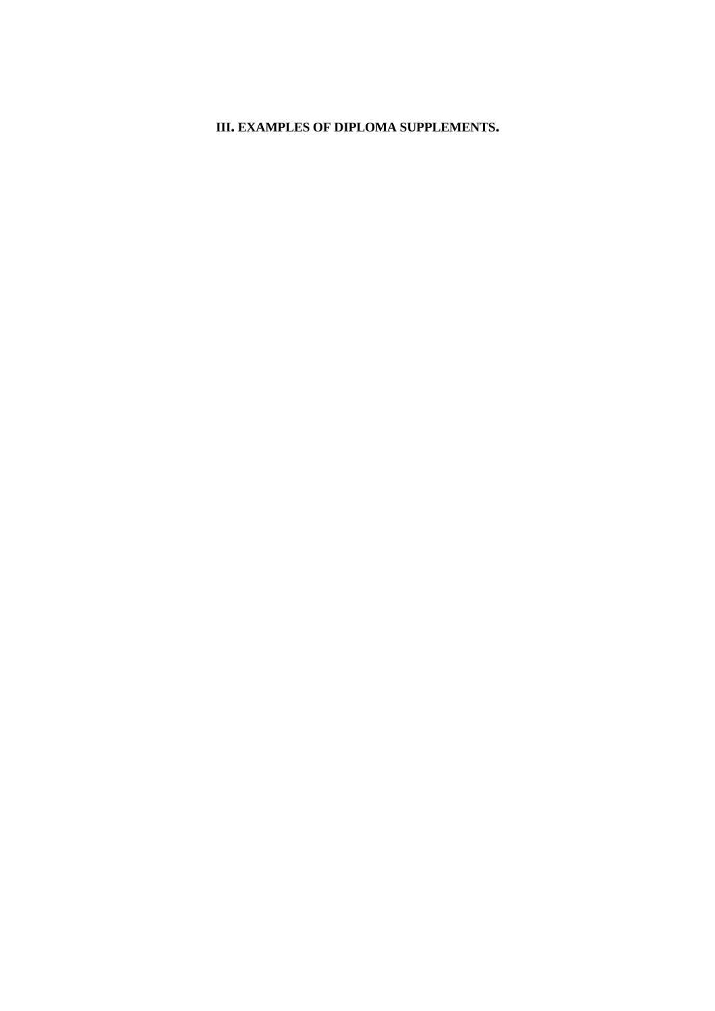## **III. EXAMPLES OF DIPLOMA SUPPLEMENTS.**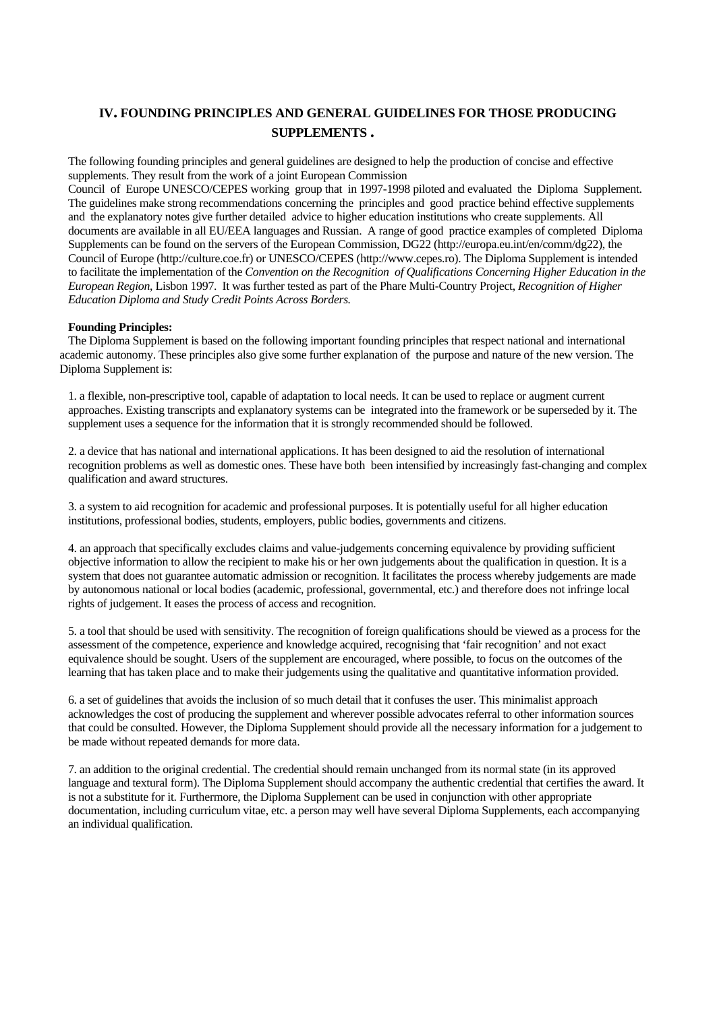## **IV. FOUNDING PRINCIPLES AND GENERAL GUIDELINES FOR THOSE PRODUCING SUPPLEMENTS .**

The following founding principles and general guidelines are designed to help the production of concise and effective supplements. They result from the work of a joint European Commission

Council of Europe UNESCO/CEPES working group that in 1997-1998 piloted and evaluated the Diploma Supplement. The guidelines make strong recommendations concerning the principles and good practice behind effective supplements and the explanatory notes give further detailed advice to higher education institutions who create supplements. All documents are available in all EU/EEA languages and Russian. A range of good practice examples of completed Diploma Supplements can be found on the servers of the European Commission, DG22 (http://europa.eu.int/en/comm/dg22), the Council of Europe (http://culture.coe.fr) or UNESCO/CEPES (http://www.cepes.ro). The Diploma Supplement is intended to facilitate the implementation of the *Convention on the Recognition of Qualifications Concerning Higher Education in the European Region*, Lisbon 1997. It was further tested as part of the Phare Multi-Country Project, *Recognition of Higher Education Diploma and Study Credit Points Across Borders.*

#### **Founding Principles:**

The Diploma Supplement is based on the following important founding principles that respect national and international academic autonomy. These principles also give some further explanation of the purpose and nature of the new version. The Diploma Supplement is:

1. a flexible, non-prescriptive tool, capable of adaptation to local needs. It can be used to replace or augment current approaches. Existing transcripts and explanatory systems can be integrated into the framework or be superseded by it. The supplement uses a sequence for the information that it is strongly recommended should be followed.

2. a device that has national and international applications. It has been designed to aid the resolution of international recognition problems as well as domestic ones. These have both been intensified by increasingly fast-changing and complex qualification and award structures.

3. a system to aid recognition for academic and professional purposes. It is potentially useful for all higher education institutions, professional bodies, students, employers, public bodies, governments and citizens.

4. an approach that specifically excludes claims and value-judgements concerning equivalence by providing sufficient objective information to allow the recipient to make his or her own judgements about the qualification in question. It is a system that does not guarantee automatic admission or recognition. It facilitates the process whereby judgements are made by autonomous national or local bodies (academic, professional, governmental, etc.) and therefore does not infringe local rights of judgement. It eases the process of access and recognition.

5. a tool that should be used with sensitivity. The recognition of foreign qualifications should be viewed as a process for the assessment of the competence, experience and knowledge acquired, recognising that 'fair recognition' and not exact equivalence should be sought. Users of the supplement are encouraged, where possible, to focus on the outcomes of the learning that has taken place and to make their judgements using the qualitative and quantitative information provided.

6. a set of guidelines that avoids the inclusion of so much detail that it confuses the user. This minimalist approach acknowledges the cost of producing the supplement and wherever possible advocates referral to other information sources that could be consulted. However, the Diploma Supplement should provide all the necessary information for a judgement to be made without repeated demands for more data.

7. an addition to the original credential. The credential should remain unchanged from its normal state (in its approved language and textural form). The Diploma Supplement should accompany the authentic credential that certifies the award. It is not a substitute for it. Furthermore, the Diploma Supplement can be used in conjunction with other appropriate documentation, including curriculum vitae, etc. a person may well have several Diploma Supplements, each accompanying an individual qualification.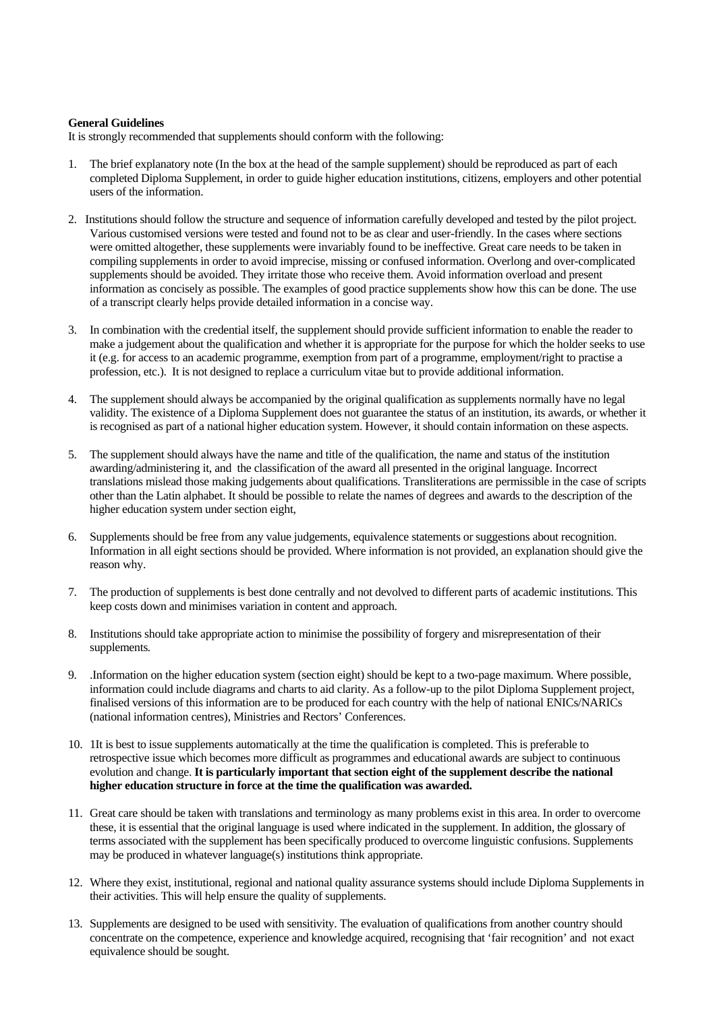#### **General Guidelines**

It is strongly recommended that supplements should conform with the following:

- 1. The brief explanatory note (In the box at the head of the sample supplement) should be reproduced as part of each completed Diploma Supplement, in order to guide higher education institutions, citizens, employers and other potential users of the information.
- 2. Institutions should follow the structure and sequence of information carefully developed and tested by the pilot project. Various customised versions were tested and found not to be as clear and user-friendly. In the cases where sections were omitted altogether, these supplements were invariably found to be ineffective. Great care needs to be taken in compiling supplements in order to avoid imprecise, missing or confused information. Overlong and over-complicated supplements should be avoided. They irritate those who receive them. Avoid information overload and present information as concisely as possible. The examples of good practice supplements show how this can be done. The use of a transcript clearly helps provide detailed information in a concise way.
- 3. In combination with the credential itself, the supplement should provide sufficient information to enable the reader to make a judgement about the qualification and whether it is appropriate for the purpose for which the holder seeks to use it (e.g. for access to an academic programme, exemption from part of a programme, employment/right to practise a profession, etc.). It is not designed to replace a curriculum vitae but to provide additional information.
- 4. The supplement should always be accompanied by the original qualification as supplements normally have no legal validity. The existence of a Diploma Supplement does not guarantee the status of an institution, its awards, or whether it is recognised as part of a national higher education system. However, it should contain information on these aspects.
- 5. The supplement should always have the name and title of the qualification, the name and status of the institution awarding/administering it, and the classification of the award all presented in the original language. Incorrect translations mislead those making judgements about qualifications. Transliterations are permissible in the case of scripts other than the Latin alphabet. It should be possible to relate the names of degrees and awards to the description of the higher education system under section eight,
- 6. Supplements should be free from any value judgements, equivalence statements or suggestions about recognition. Information in all eight sections should be provided. Where information is not provided, an explanation should give the reason why.
- 7. The production of supplements is best done centrally and not devolved to different parts of academic institutions. This keep costs down and minimises variation in content and approach.
- 8. Institutions should take appropriate action to minimise the possibility of forgery and misrepresentation of their supplements*.*
- 9. .Information on the higher education system (section eight) should be kept to a two-page maximum. Where possible, information could include diagrams and charts to aid clarity. As a follow-up to the pilot Diploma Supplement project, finalised versions of this information are to be produced for each country with the help of national ENICs/NARICs (national information centres), Ministries and Rectors' Conferences.
- 10. 1It is best to issue supplements automatically at the time the qualification is completed. This is preferable to retrospective issue which becomes more difficult as programmes and educational awards are subject to continuous evolution and change. **It is particularly important that section eight of the supplement describe the national higher education structure in force at the time the qualification was awarded.**
- 11. Great care should be taken with translations and terminology as many problems exist in this area. In order to overcome these, it is essential that the original language is used where indicated in the supplement. In addition, the glossary of terms associated with the supplement has been specifically produced to overcome linguistic confusions. Supplements may be produced in whatever language(s) institutions think appropriate.
- 12. Where they exist, institutional, regional and national quality assurance systems should include Diploma Supplements in their activities. This will help ensure the quality of supplements.
- 13. Supplements are designed to be used with sensitivity. The evaluation of qualifications from another country should concentrate on the competence, experience and knowledge acquired, recognising that 'fair recognition' and not exact equivalence should be sought.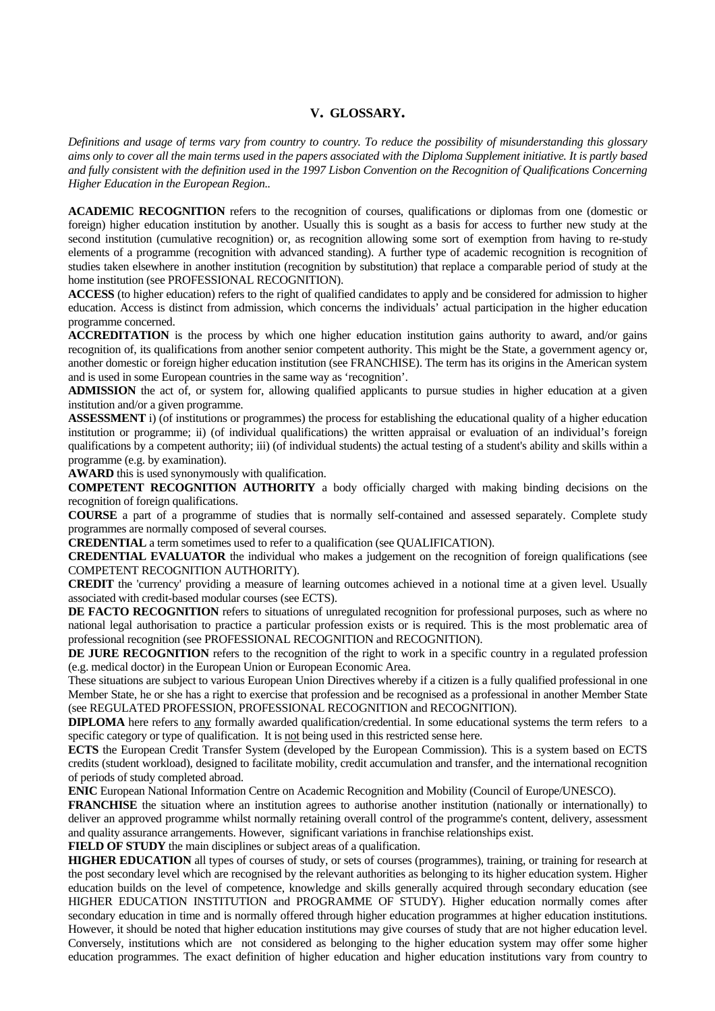### **V. GLOSSARY.**

*Definitions and usage of terms vary from country to country. To reduce the possibility of misunderstanding this glossary aims only to cover all the main terms used in the papers associated with the Diploma Supplement initiative. It is partly based and fully consistent with the definition used in the 1997 Lisbon Convention on the Recognition of Qualifications Concerning Higher Education in the European Region..*

**ACADEMIC RECOGNITION** refers to the recognition of courses, qualifications or diplomas from one (domestic or foreign) higher education institution by another. Usually this is sought as a basis for access to further new study at the second institution (cumulative recognition) or, as recognition allowing some sort of exemption from having to re-study elements of a programme (recognition with advanced standing). A further type of academic recognition is recognition of studies taken elsewhere in another institution (recognition by substitution) that replace a comparable period of study at the home institution (see PROFESSIONAL RECOGNITION).

**ACCESS** (to higher education) refers to the right of qualified candidates to apply and be considered for admission to higher education. Access is distinct from admission, which concerns the individuals' actual participation in the higher education programme concerned.

**ACCREDITATION** is the process by which one higher education institution gains authority to award, and/or gains recognition of, its qualifications from another senior competent authority. This might be the State, a government agency or, another domestic or foreign higher education institution (see FRANCHISE). The term has its origins in the American system and is used in some European countries in the same way as 'recognition'.

**ADMISSION** the act of, or system for, allowing qualified applicants to pursue studies in higher education at a given institution and/or a given programme.

**ASSESSMENT** i) (of institutions or programmes) the process for establishing the educational quality of a higher education institution or programme; ii) (of individual qualifications) the written appraisal or evaluation of an individual's foreign qualifications by a competent authority; iii) (of individual students) the actual testing of a student's ability and skills within a programme (e.g. by examination).

**AWARD** this is used synonymously with qualification.

**COMPETENT RECOGNITION AUTHORITY** a body officially charged with making binding decisions on the recognition of foreign qualifications.

**COURSE** a part of a programme of studies that is normally self-contained and assessed separately. Complete study programmes are normally composed of several courses.

**CREDENTIAL** a term sometimes used to refer to a qualification (see QUALIFICATION).

**CREDENTIAL EVALUATOR** the individual who makes a judgement on the recognition of foreign qualifications (see COMPETENT RECOGNITION AUTHORITY).

**CREDIT** the 'currency' providing a measure of learning outcomes achieved in a notional time at a given level. Usually associated with credit-based modular courses (see ECTS).

**DE FACTO RECOGNITION** refers to situations of unregulated recognition for professional purposes, such as where no national legal authorisation to practice a particular profession exists or is required. This is the most problematic area of professional recognition (see PROFESSIONAL RECOGNITION and RECOGNITION).

**DE JURE RECOGNITION** refers to the recognition of the right to work in a specific country in a regulated profession (e.g. medical doctor) in the European Union or European Economic Area.

These situations are subject to various European Union Directives whereby if a citizen is a fully qualified professional in one Member State, he or she has a right to exercise that profession and be recognised as a professional in another Member State (see REGULATED PROFESSION, PROFESSIONAL RECOGNITION and RECOGNITION).

**DIPLOMA** here refers to any formally awarded qualification/credential. In some educational systems the term refers to a specific category or type of qualification. It is not being used in this restricted sense here.

**ECTS** the European Credit Transfer System (developed by the European Commission). This is a system based on ECTS credits (student workload), designed to facilitate mobility, credit accumulation and transfer, and the international recognition of periods of study completed abroad.

**ENIC** European National Information Centre on Academic Recognition and Mobility (Council of Europe/UNESCO).

**FRANCHISE** the situation where an institution agrees to authorise another institution (nationally or internationally) to deliver an approved programme whilst normally retaining overall control of the programme's content, delivery, assessment and quality assurance arrangements. However, significant variations in franchise relationships exist.

**FIELD OF STUDY** the main disciplines or subject areas of a qualification.

**HIGHER EDUCATION** all types of courses of study, or sets of courses (programmes), training, or training for research at the post secondary level which are recognised by the relevant authorities as belonging to its higher education system. Higher education builds on the level of competence, knowledge and skills generally acquired through secondary education (see HIGHER EDUCATION INSTITUTION and PROGRAMME OF STUDY). Higher education normally comes after secondary education in time and is normally offered through higher education programmes at higher education institutions. However, it should be noted that higher education institutions may give courses of study that are not higher education level. Conversely, institutions which are not considered as belonging to the higher education system may offer some higher education programmes. The exact definition of higher education and higher education institutions vary from country to